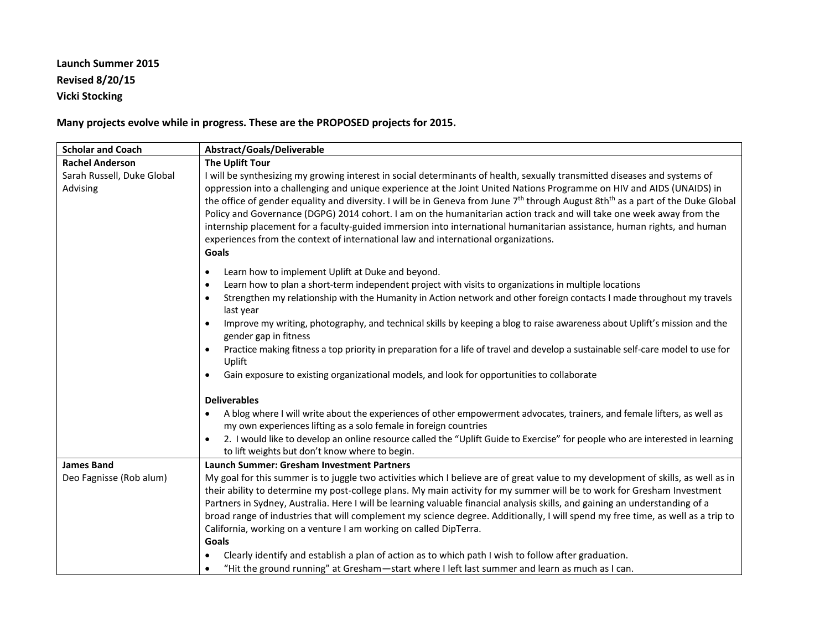## **Launch Summer 2015 Revised 8/20/15 Vicki Stocking**

**Many projects evolve while in progress. These are the PROPOSED projects for 2015.**

| <b>Scholar and Coach</b>               | <b>Abstract/Goals/Deliverable</b>                                                                                                                                                                                                                                                                                                                                                                                                                                                                                                                                                                                                                                                                                                                                |
|----------------------------------------|------------------------------------------------------------------------------------------------------------------------------------------------------------------------------------------------------------------------------------------------------------------------------------------------------------------------------------------------------------------------------------------------------------------------------------------------------------------------------------------------------------------------------------------------------------------------------------------------------------------------------------------------------------------------------------------------------------------------------------------------------------------|
| <b>Rachel Anderson</b>                 | The Uplift Tour                                                                                                                                                                                                                                                                                                                                                                                                                                                                                                                                                                                                                                                                                                                                                  |
| Sarah Russell, Duke Global<br>Advising | I will be synthesizing my growing interest in social determinants of health, sexually transmitted diseases and systems of<br>oppression into a challenging and unique experience at the Joint United Nations Programme on HIV and AIDS (UNAIDS) in<br>the office of gender equality and diversity. I will be in Geneva from June 7 <sup>th</sup> through August 8th <sup>th</sup> as a part of the Duke Global<br>Policy and Governance (DGPG) 2014 cohort. I am on the humanitarian action track and will take one week away from the<br>internship placement for a faculty-guided immersion into international humanitarian assistance, human rights, and human<br>experiences from the context of international law and international organizations.<br>Goals |
|                                        | Learn how to implement Uplift at Duke and beyond.<br>$\bullet$                                                                                                                                                                                                                                                                                                                                                                                                                                                                                                                                                                                                                                                                                                   |
|                                        | Learn how to plan a short-term independent project with visits to organizations in multiple locations<br>$\bullet$                                                                                                                                                                                                                                                                                                                                                                                                                                                                                                                                                                                                                                               |
|                                        | Strengthen my relationship with the Humanity in Action network and other foreign contacts I made throughout my travels<br>$\bullet$<br>last year                                                                                                                                                                                                                                                                                                                                                                                                                                                                                                                                                                                                                 |
|                                        | Improve my writing, photography, and technical skills by keeping a blog to raise awareness about Uplift's mission and the<br>$\bullet$<br>gender gap in fitness                                                                                                                                                                                                                                                                                                                                                                                                                                                                                                                                                                                                  |
|                                        | Practice making fitness a top priority in preparation for a life of travel and develop a sustainable self-care model to use for<br>Uplift                                                                                                                                                                                                                                                                                                                                                                                                                                                                                                                                                                                                                        |
|                                        | Gain exposure to existing organizational models, and look for opportunities to collaborate<br>$\bullet$                                                                                                                                                                                                                                                                                                                                                                                                                                                                                                                                                                                                                                                          |
|                                        | <b>Deliverables</b>                                                                                                                                                                                                                                                                                                                                                                                                                                                                                                                                                                                                                                                                                                                                              |
|                                        | A blog where I will write about the experiences of other empowerment advocates, trainers, and female lifters, as well as<br>my own experiences lifting as a solo female in foreign countries                                                                                                                                                                                                                                                                                                                                                                                                                                                                                                                                                                     |
|                                        | 2. I would like to develop an online resource called the "Uplift Guide to Exercise" for people who are interested in learning<br>$\bullet$<br>to lift weights but don't know where to begin.                                                                                                                                                                                                                                                                                                                                                                                                                                                                                                                                                                     |
| <b>James Band</b>                      | <b>Launch Summer: Gresham Investment Partners</b>                                                                                                                                                                                                                                                                                                                                                                                                                                                                                                                                                                                                                                                                                                                |
| Deo Fagnisse (Rob alum)                | My goal for this summer is to juggle two activities which I believe are of great value to my development of skills, as well as in<br>their ability to determine my post-college plans. My main activity for my summer will be to work for Gresham Investment<br>Partners in Sydney, Australia. Here I will be learning valuable financial analysis skills, and gaining an understanding of a<br>broad range of industries that will complement my science degree. Additionally, I will spend my free time, as well as a trip to<br>California, working on a venture I am working on called DipTerra.<br>Goals                                                                                                                                                    |
|                                        | Clearly identify and establish a plan of action as to which path I wish to follow after graduation.                                                                                                                                                                                                                                                                                                                                                                                                                                                                                                                                                                                                                                                              |
|                                        | "Hit the ground running" at Gresham-start where I left last summer and learn as much as I can.<br>$\bullet$                                                                                                                                                                                                                                                                                                                                                                                                                                                                                                                                                                                                                                                      |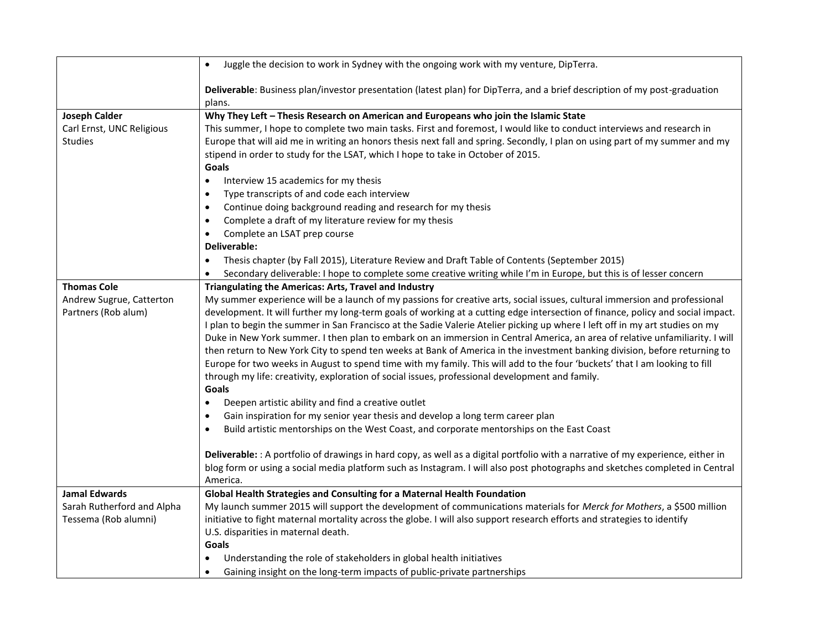|                            | Juggle the decision to work in Sydney with the ongoing work with my venture, DipTerra.<br>$\bullet$                                                                                                              |
|----------------------------|------------------------------------------------------------------------------------------------------------------------------------------------------------------------------------------------------------------|
|                            | Deliverable: Business plan/investor presentation (latest plan) for DipTerra, and a brief description of my post-graduation<br>plans.                                                                             |
| <b>Joseph Calder</b>       | Why They Left - Thesis Research on American and Europeans who join the Islamic State                                                                                                                             |
| Carl Ernst, UNC Religious  | This summer, I hope to complete two main tasks. First and foremost, I would like to conduct interviews and research in                                                                                           |
| <b>Studies</b>             | Europe that will aid me in writing an honors thesis next fall and spring. Secondly, I plan on using part of my summer and my<br>stipend in order to study for the LSAT, which I hope to take in October of 2015. |
|                            | Goals                                                                                                                                                                                                            |
|                            | Interview 15 academics for my thesis<br>$\bullet$                                                                                                                                                                |
|                            | Type transcripts of and code each interview<br>$\bullet$                                                                                                                                                         |
|                            | Continue doing background reading and research for my thesis<br>$\bullet$                                                                                                                                        |
|                            | Complete a draft of my literature review for my thesis<br>$\bullet$                                                                                                                                              |
|                            | Complete an LSAT prep course<br>$\bullet$                                                                                                                                                                        |
|                            | Deliverable:                                                                                                                                                                                                     |
|                            | Thesis chapter (by Fall 2015), Literature Review and Draft Table of Contents (September 2015)<br>$\bullet$                                                                                                       |
|                            | Secondary deliverable: I hope to complete some creative writing while I'm in Europe, but this is of lesser concern<br>$\bullet$                                                                                  |
| <b>Thomas Cole</b>         | Triangulating the Americas: Arts, Travel and Industry                                                                                                                                                            |
| Andrew Sugrue, Catterton   | My summer experience will be a launch of my passions for creative arts, social issues, cultural immersion and professional                                                                                       |
| Partners (Rob alum)        | development. It will further my long-term goals of working at a cutting edge intersection of finance, policy and social impact.                                                                                  |
|                            | I plan to begin the summer in San Francisco at the Sadie Valerie Atelier picking up where I left off in my art studies on my                                                                                     |
|                            | Duke in New York summer. I then plan to embark on an immersion in Central America, an area of relative unfamiliarity. I will                                                                                     |
|                            | then return to New York City to spend ten weeks at Bank of America in the investment banking division, before returning to                                                                                       |
|                            | Europe for two weeks in August to spend time with my family. This will add to the four 'buckets' that I am looking to fill                                                                                       |
|                            | through my life: creativity, exploration of social issues, professional development and family.                                                                                                                  |
|                            | Goals                                                                                                                                                                                                            |
|                            | Deepen artistic ability and find a creative outlet<br>$\bullet$                                                                                                                                                  |
|                            | Gain inspiration for my senior year thesis and develop a long term career plan<br>$\bullet$                                                                                                                      |
|                            | Build artistic mentorships on the West Coast, and corporate mentorships on the East Coast<br>$\bullet$                                                                                                           |
|                            |                                                                                                                                                                                                                  |
|                            | Deliverable: : A portfolio of drawings in hard copy, as well as a digital portfolio with a narrative of my experience, either in                                                                                 |
|                            | blog form or using a social media platform such as Instagram. I will also post photographs and sketches completed in Central                                                                                     |
|                            | America.                                                                                                                                                                                                         |
| <b>Jamal Edwards</b>       | Global Health Strategies and Consulting for a Maternal Health Foundation                                                                                                                                         |
| Sarah Rutherford and Alpha | My launch summer 2015 will support the development of communications materials for Merck for Mothers, a \$500 million                                                                                            |
| Tessema (Rob alumni)       | initiative to fight maternal mortality across the globe. I will also support research efforts and strategies to identify                                                                                         |
|                            | U.S. disparities in maternal death.                                                                                                                                                                              |
|                            | Goals                                                                                                                                                                                                            |
|                            | Understanding the role of stakeholders in global health initiatives                                                                                                                                              |
|                            | Gaining insight on the long-term impacts of public-private partnerships<br>$\bullet$                                                                                                                             |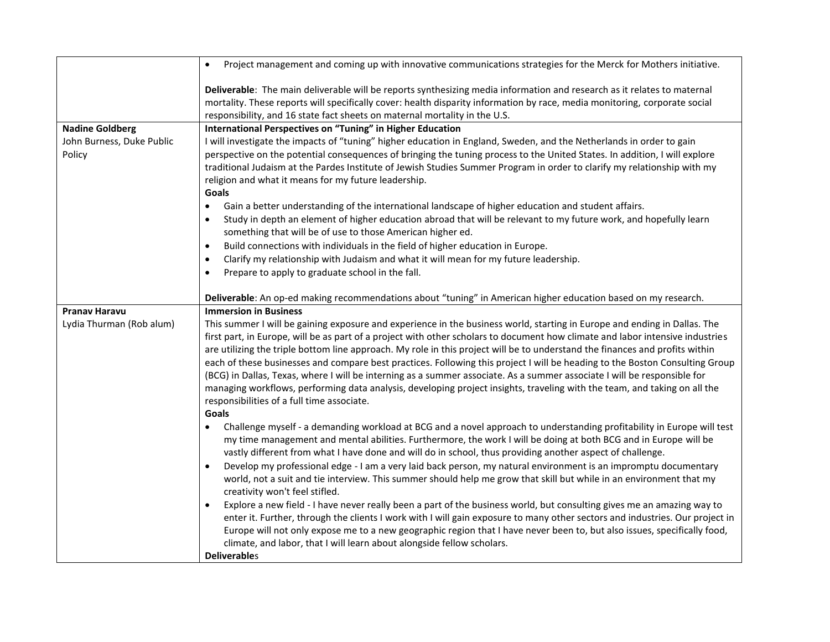|                                     | Project management and coming up with innovative communications strategies for the Merck for Mothers initiative.<br>$\bullet$                                                                                                                                                                                                                                                                                                                                                                                                                                                                                                                                                                                                                                                                                                                                                                                                                                                                                                                                                                                                                                     |
|-------------------------------------|-------------------------------------------------------------------------------------------------------------------------------------------------------------------------------------------------------------------------------------------------------------------------------------------------------------------------------------------------------------------------------------------------------------------------------------------------------------------------------------------------------------------------------------------------------------------------------------------------------------------------------------------------------------------------------------------------------------------------------------------------------------------------------------------------------------------------------------------------------------------------------------------------------------------------------------------------------------------------------------------------------------------------------------------------------------------------------------------------------------------------------------------------------------------|
|                                     | Deliverable: The main deliverable will be reports synthesizing media information and research as it relates to maternal<br>mortality. These reports will specifically cover: health disparity information by race, media monitoring, corporate social<br>responsibility, and 16 state fact sheets on maternal mortality in the U.S.                                                                                                                                                                                                                                                                                                                                                                                                                                                                                                                                                                                                                                                                                                                                                                                                                               |
| <b>Nadine Goldberg</b>              | International Perspectives on "Tuning" in Higher Education                                                                                                                                                                                                                                                                                                                                                                                                                                                                                                                                                                                                                                                                                                                                                                                                                                                                                                                                                                                                                                                                                                        |
| John Burness, Duke Public<br>Policy | I will investigate the impacts of "tuning" higher education in England, Sweden, and the Netherlands in order to gain<br>perspective on the potential consequences of bringing the tuning process to the United States. In addition, I will explore<br>traditional Judaism at the Pardes Institute of Jewish Studies Summer Program in order to clarify my relationship with my<br>religion and what it means for my future leadership.<br>Goals                                                                                                                                                                                                                                                                                                                                                                                                                                                                                                                                                                                                                                                                                                                   |
|                                     | Gain a better understanding of the international landscape of higher education and student affairs.<br>$\bullet$                                                                                                                                                                                                                                                                                                                                                                                                                                                                                                                                                                                                                                                                                                                                                                                                                                                                                                                                                                                                                                                  |
|                                     | Study in depth an element of higher education abroad that will be relevant to my future work, and hopefully learn<br>$\bullet$<br>something that will be of use to those American higher ed.                                                                                                                                                                                                                                                                                                                                                                                                                                                                                                                                                                                                                                                                                                                                                                                                                                                                                                                                                                      |
|                                     | Build connections with individuals in the field of higher education in Europe.<br>$\bullet$                                                                                                                                                                                                                                                                                                                                                                                                                                                                                                                                                                                                                                                                                                                                                                                                                                                                                                                                                                                                                                                                       |
|                                     | Clarify my relationship with Judaism and what it will mean for my future leadership.<br>$\bullet$                                                                                                                                                                                                                                                                                                                                                                                                                                                                                                                                                                                                                                                                                                                                                                                                                                                                                                                                                                                                                                                                 |
|                                     | Prepare to apply to graduate school in the fall.<br>$\bullet$                                                                                                                                                                                                                                                                                                                                                                                                                                                                                                                                                                                                                                                                                                                                                                                                                                                                                                                                                                                                                                                                                                     |
|                                     | Deliverable: An op-ed making recommendations about "tuning" in American higher education based on my research.                                                                                                                                                                                                                                                                                                                                                                                                                                                                                                                                                                                                                                                                                                                                                                                                                                                                                                                                                                                                                                                    |
| <b>Pranav Haravu</b>                | <b>Immersion in Business</b>                                                                                                                                                                                                                                                                                                                                                                                                                                                                                                                                                                                                                                                                                                                                                                                                                                                                                                                                                                                                                                                                                                                                      |
| Lydia Thurman (Rob alum)            | This summer I will be gaining exposure and experience in the business world, starting in Europe and ending in Dallas. The<br>first part, in Europe, will be as part of a project with other scholars to document how climate and labor intensive industries<br>are utilizing the triple bottom line approach. My role in this project will be to understand the finances and profits within<br>each of these businesses and compare best practices. Following this project I will be heading to the Boston Consulting Group<br>(BCG) in Dallas, Texas, where I will be interning as a summer associate. As a summer associate I will be responsible for<br>managing workflows, performing data analysis, developing project insights, traveling with the team, and taking on all the<br>responsibilities of a full time associate.<br>Goals                                                                                                                                                                                                                                                                                                                       |
|                                     | Challenge myself - a demanding workload at BCG and a novel approach to understanding profitability in Europe will test<br>$\bullet$<br>my time management and mental abilities. Furthermore, the work I will be doing at both BCG and in Europe will be<br>vastly different from what I have done and will do in school, thus providing another aspect of challenge.<br>Develop my professional edge - I am a very laid back person, my natural environment is an impromptu documentary<br>$\bullet$<br>world, not a suit and tie interview. This summer should help me grow that skill but while in an environment that my<br>creativity won't feel stifled.<br>Explore a new field - I have never really been a part of the business world, but consulting gives me an amazing way to<br>$\bullet$<br>enter it. Further, through the clients I work with I will gain exposure to many other sectors and industries. Our project in<br>Europe will not only expose me to a new geographic region that I have never been to, but also issues, specifically food,<br>climate, and labor, that I will learn about alongside fellow scholars.<br><b>Deliverables</b> |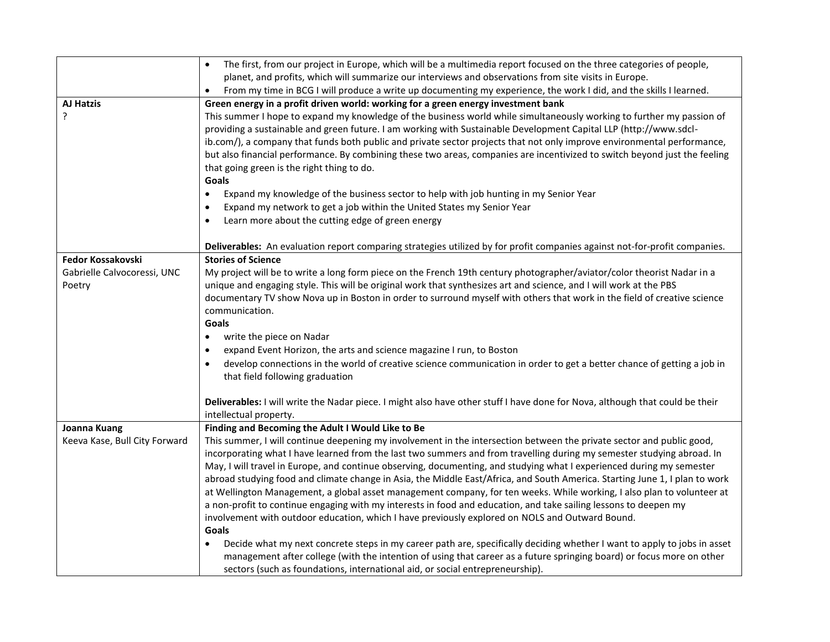|                               | The first, from our project in Europe, which will be a multimedia report focused on the three categories of people,<br>$\bullet$                       |
|-------------------------------|--------------------------------------------------------------------------------------------------------------------------------------------------------|
|                               | planet, and profits, which will summarize our interviews and observations from site visits in Europe.                                                  |
|                               | From my time in BCG I will produce a write up documenting my experience, the work I did, and the skills I learned.<br>$\bullet$                        |
| <b>AJ Hatzis</b>              | Green energy in a profit driven world: working for a green energy investment bank                                                                      |
| ?                             | This summer I hope to expand my knowledge of the business world while simultaneously working to further my passion of                                  |
|                               | providing a sustainable and green future. I am working with Sustainable Development Capital LLP (http://www.sdcl-                                      |
|                               | ib.com/), a company that funds both public and private sector projects that not only improve environmental performance,                                |
|                               | but also financial performance. By combining these two areas, companies are incentivized to switch beyond just the feeling                             |
|                               | that going green is the right thing to do.                                                                                                             |
|                               | Goals                                                                                                                                                  |
|                               | Expand my knowledge of the business sector to help with job hunting in my Senior Year<br>$\bullet$                                                     |
|                               | Expand my network to get a job within the United States my Senior Year<br>$\bullet$                                                                    |
|                               | Learn more about the cutting edge of green energy<br>$\bullet$                                                                                         |
|                               | Deliverables: An evaluation report comparing strategies utilized by for profit companies against not-for-profit companies.                             |
| <b>Fedor Kossakovski</b>      | <b>Stories of Science</b>                                                                                                                              |
| Gabrielle Calvocoressi, UNC   | My project will be to write a long form piece on the French 19th century photographer/aviator/color theorist Nadar in a                                |
| Poetry                        | unique and engaging style. This will be original work that synthesizes art and science, and I will work at the PBS                                     |
|                               | documentary TV show Nova up in Boston in order to surround myself with others that work in the field of creative science                               |
|                               | communication.                                                                                                                                         |
|                               | Goals                                                                                                                                                  |
|                               | write the piece on Nadar<br>$\bullet$                                                                                                                  |
|                               | expand Event Horizon, the arts and science magazine I run, to Boston<br>$\bullet$                                                                      |
|                               | develop connections in the world of creative science communication in order to get a better chance of getting a job in<br>$\bullet$                    |
|                               | that field following graduation                                                                                                                        |
|                               |                                                                                                                                                        |
|                               | Deliverables: I will write the Nadar piece. I might also have other stuff I have done for Nova, although that could be their<br>intellectual property. |
| Joanna Kuang                  | Finding and Becoming the Adult I Would Like to Be                                                                                                      |
| Keeva Kase, Bull City Forward | This summer, I will continue deepening my involvement in the intersection between the private sector and public good,                                  |
|                               | incorporating what I have learned from the last two summers and from travelling during my semester studying abroad. In                                 |
|                               | May, I will travel in Europe, and continue observing, documenting, and studying what I experienced during my semester                                  |
|                               | abroad studying food and climate change in Asia, the Middle East/Africa, and South America. Starting June 1, I plan to work                            |
|                               | at Wellington Management, a global asset management company, for ten weeks. While working, I also plan to volunteer at                                 |
|                               | a non-profit to continue engaging with my interests in food and education, and take sailing lessons to deepen my                                       |
|                               | involvement with outdoor education, which I have previously explored on NOLS and Outward Bound.                                                        |
|                               | Goals                                                                                                                                                  |
|                               | Decide what my next concrete steps in my career path are, specifically deciding whether I want to apply to jobs in asset                               |
|                               | management after college (with the intention of using that career as a future springing board) or focus more on other                                  |
|                               | sectors (such as foundations, international aid, or social entrepreneurship).                                                                          |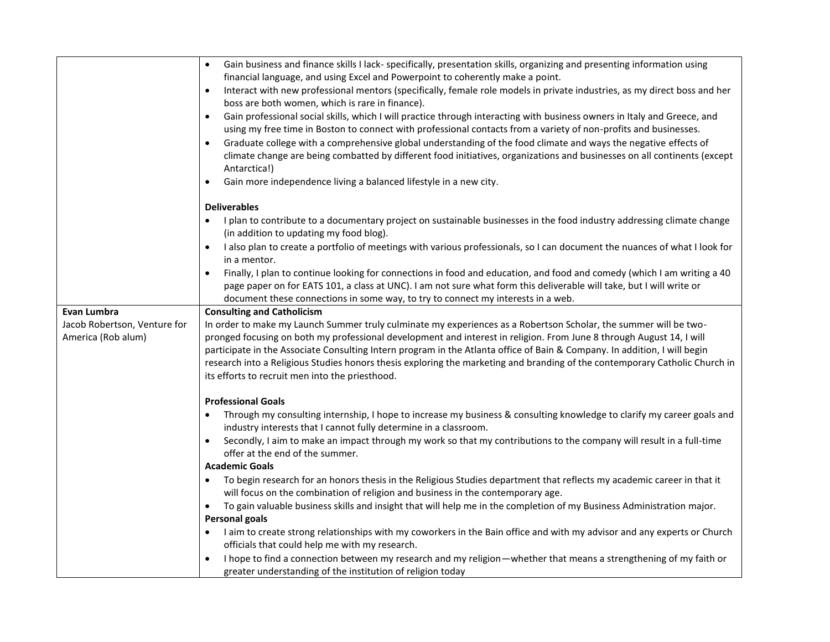|                                             | Gain business and finance skills I lack- specifically, presentation skills, organizing and presenting information using<br>$\bullet$                                                                                                                                     |
|---------------------------------------------|--------------------------------------------------------------------------------------------------------------------------------------------------------------------------------------------------------------------------------------------------------------------------|
|                                             | financial language, and using Excel and Powerpoint to coherently make a point.                                                                                                                                                                                           |
|                                             | Interact with new professional mentors (specifically, female role models in private industries, as my direct boss and her<br>$\bullet$<br>boss are both women, which is rare in finance).                                                                                |
|                                             | Gain professional social skills, which I will practice through interacting with business owners in Italy and Greece, and<br>$\bullet$                                                                                                                                    |
|                                             | using my free time in Boston to connect with professional contacts from a variety of non-profits and businesses.                                                                                                                                                         |
|                                             | Graduate college with a comprehensive global understanding of the food climate and ways the negative effects of<br>$\bullet$<br>climate change are being combatted by different food initiatives, organizations and businesses on all continents (except<br>Antarctica!) |
|                                             | Gain more independence living a balanced lifestyle in a new city.<br>$\bullet$                                                                                                                                                                                           |
|                                             | <b>Deliverables</b>                                                                                                                                                                                                                                                      |
|                                             | I plan to contribute to a documentary project on sustainable businesses in the food industry addressing climate change<br>$\bullet$<br>(in addition to updating my food blog).                                                                                           |
|                                             | I also plan to create a portfolio of meetings with various professionals, so I can document the nuances of what I look for<br>$\bullet$<br>in a mentor.                                                                                                                  |
|                                             | Finally, I plan to continue looking for connections in food and education, and food and comedy (which I am writing a 40<br>$\bullet$<br>page paper on for EATS 101, a class at UNC). I am not sure what form this deliverable will take, but I will write or             |
|                                             | document these connections in some way, to try to connect my interests in a web.                                                                                                                                                                                         |
| Evan Lumbra<br>Jacob Robertson, Venture for | <b>Consulting and Catholicism</b><br>In order to make my Launch Summer truly culminate my experiences as a Robertson Scholar, the summer will be two-                                                                                                                    |
| America (Rob alum)                          | pronged focusing on both my professional development and interest in religion. From June 8 through August 14, I will                                                                                                                                                     |
|                                             | participate in the Associate Consulting Intern program in the Atlanta office of Bain & Company. In addition, I will begin                                                                                                                                                |
|                                             | research into a Religious Studies honors thesis exploring the marketing and branding of the contemporary Catholic Church in                                                                                                                                              |
|                                             | its efforts to recruit men into the priesthood.                                                                                                                                                                                                                          |
|                                             | <b>Professional Goals</b>                                                                                                                                                                                                                                                |
|                                             | Through my consulting internship, I hope to increase my business & consulting knowledge to clarify my career goals and<br>industry interests that I cannot fully determine in a classroom.                                                                               |
|                                             | Secondly, I aim to make an impact through my work so that my contributions to the company will result in a full-time<br>$\bullet$<br>offer at the end of the summer.                                                                                                     |
|                                             | <b>Academic Goals</b>                                                                                                                                                                                                                                                    |
|                                             | To begin research for an honors thesis in the Religious Studies department that reflects my academic career in that it<br>will focus on the combination of religion and business in the contemporary age.                                                                |
|                                             | To gain valuable business skills and insight that will help me in the completion of my Business Administration major.                                                                                                                                                    |
|                                             | <b>Personal goals</b>                                                                                                                                                                                                                                                    |
|                                             | I aim to create strong relationships with my coworkers in the Bain office and with my advisor and any experts or Church<br>$\bullet$                                                                                                                                     |
|                                             | officials that could help me with my research.                                                                                                                                                                                                                           |
|                                             | I hope to find a connection between my research and my religion—whether that means a strengthening of my faith or<br>$\bullet$<br>greater understanding of the institution of religion today                                                                             |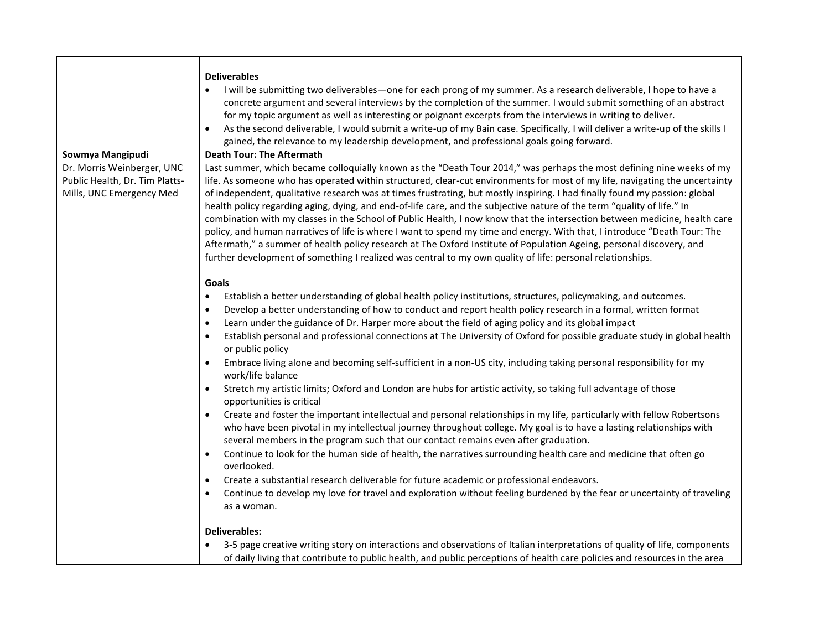|                                                                                          | <b>Deliverables</b>                                                                                                                                                                                                                                                                                                                                                                                                                                                                                                                                                                                                                                                                                                                                                                                                                                                                                                                                                                                                                                                                                                                                                                                                                                                                                                                                                                                                                                                                                                                                                                                                |
|------------------------------------------------------------------------------------------|--------------------------------------------------------------------------------------------------------------------------------------------------------------------------------------------------------------------------------------------------------------------------------------------------------------------------------------------------------------------------------------------------------------------------------------------------------------------------------------------------------------------------------------------------------------------------------------------------------------------------------------------------------------------------------------------------------------------------------------------------------------------------------------------------------------------------------------------------------------------------------------------------------------------------------------------------------------------------------------------------------------------------------------------------------------------------------------------------------------------------------------------------------------------------------------------------------------------------------------------------------------------------------------------------------------------------------------------------------------------------------------------------------------------------------------------------------------------------------------------------------------------------------------------------------------------------------------------------------------------|
|                                                                                          | I will be submitting two deliverables—one for each prong of my summer. As a research deliverable, I hope to have a<br>concrete argument and several interviews by the completion of the summer. I would submit something of an abstract<br>for my topic argument as well as interesting or poignant excerpts from the interviews in writing to deliver.<br>As the second deliverable, I would submit a write-up of my Bain case. Specifically, I will deliver a write-up of the skills I<br>gained, the relevance to my leadership development, and professional goals going forward.                                                                                                                                                                                                                                                                                                                                                                                                                                                                                                                                                                                                                                                                                                                                                                                                                                                                                                                                                                                                                              |
| Sowmya Mangipudi                                                                         | <b>Death Tour: The Aftermath</b>                                                                                                                                                                                                                                                                                                                                                                                                                                                                                                                                                                                                                                                                                                                                                                                                                                                                                                                                                                                                                                                                                                                                                                                                                                                                                                                                                                                                                                                                                                                                                                                   |
| Dr. Morris Weinberger, UNC<br>Public Health, Dr. Tim Platts-<br>Mills, UNC Emergency Med | Last summer, which became colloquially known as the "Death Tour 2014," was perhaps the most defining nine weeks of my<br>life. As someone who has operated within structured, clear-cut environments for most of my life, navigating the uncertainty<br>of independent, qualitative research was at times frustrating, but mostly inspiring. I had finally found my passion: global<br>health policy regarding aging, dying, and end-of-life care, and the subjective nature of the term "quality of life." In<br>combination with my classes in the School of Public Health, I now know that the intersection between medicine, health care<br>policy, and human narratives of life is where I want to spend my time and energy. With that, I introduce "Death Tour: The<br>Aftermath," a summer of health policy research at The Oxford Institute of Population Ageing, personal discovery, and                                                                                                                                                                                                                                                                                                                                                                                                                                                                                                                                                                                                                                                                                                                  |
|                                                                                          | further development of something I realized was central to my own quality of life: personal relationships.                                                                                                                                                                                                                                                                                                                                                                                                                                                                                                                                                                                                                                                                                                                                                                                                                                                                                                                                                                                                                                                                                                                                                                                                                                                                                                                                                                                                                                                                                                         |
|                                                                                          | Goals<br>Establish a better understanding of global health policy institutions, structures, policymaking, and outcomes.<br>٠<br>Develop a better understanding of how to conduct and report health policy research in a formal, written format<br>$\bullet$<br>Learn under the guidance of Dr. Harper more about the field of aging policy and its global impact<br>٠<br>Establish personal and professional connections at The University of Oxford for possible graduate study in global health<br>$\bullet$<br>or public policy<br>Embrace living alone and becoming self-sufficient in a non-US city, including taking personal responsibility for my<br>work/life balance<br>Stretch my artistic limits; Oxford and London are hubs for artistic activity, so taking full advantage of those<br>$\bullet$<br>opportunities is critical<br>Create and foster the important intellectual and personal relationships in my life, particularly with fellow Robertsons<br>$\bullet$<br>who have been pivotal in my intellectual journey throughout college. My goal is to have a lasting relationships with<br>several members in the program such that our contact remains even after graduation.<br>Continue to look for the human side of health, the narratives surrounding health care and medicine that often go<br>$\bullet$<br>overlooked.<br>Create a substantial research deliverable for future academic or professional endeavors.<br>$\bullet$<br>Continue to develop my love for travel and exploration without feeling burdened by the fear or uncertainty of traveling<br>$\bullet$<br>as a woman. |
|                                                                                          | <b>Deliverables:</b>                                                                                                                                                                                                                                                                                                                                                                                                                                                                                                                                                                                                                                                                                                                                                                                                                                                                                                                                                                                                                                                                                                                                                                                                                                                                                                                                                                                                                                                                                                                                                                                               |
|                                                                                          | 3-5 page creative writing story on interactions and observations of Italian interpretations of quality of life, components<br>of daily living that contribute to public health, and public perceptions of health care policies and resources in the area                                                                                                                                                                                                                                                                                                                                                                                                                                                                                                                                                                                                                                                                                                                                                                                                                                                                                                                                                                                                                                                                                                                                                                                                                                                                                                                                                           |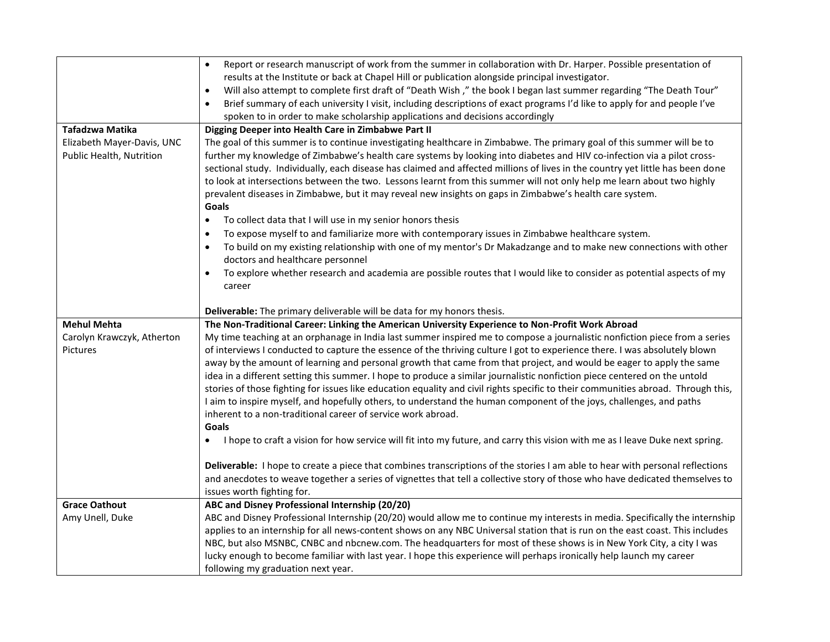|                            | Report or research manuscript of work from the summer in collaboration with Dr. Harper. Possible presentation of<br>$\bullet$                                               |
|----------------------------|-----------------------------------------------------------------------------------------------------------------------------------------------------------------------------|
|                            | results at the Institute or back at Chapel Hill or publication alongside principal investigator.                                                                            |
|                            | Will also attempt to complete first draft of "Death Wish," the book I began last summer regarding "The Death Tour"<br>$\bullet$                                             |
|                            | Brief summary of each university I visit, including descriptions of exact programs I'd like to apply for and people I've<br>$\bullet$                                       |
|                            | spoken to in order to make scholarship applications and decisions accordingly                                                                                               |
| Tafadzwa Matika            | Digging Deeper into Health Care in Zimbabwe Part II                                                                                                                         |
| Elizabeth Mayer-Davis, UNC | The goal of this summer is to continue investigating healthcare in Zimbabwe. The primary goal of this summer will be to                                                     |
| Public Health, Nutrition   | further my knowledge of Zimbabwe's health care systems by looking into diabetes and HIV co-infection via a pilot cross-                                                     |
|                            | sectional study. Individually, each disease has claimed and affected millions of lives in the country yet little has been done                                              |
|                            | to look at intersections between the two. Lessons learnt from this summer will not only help me learn about two highly                                                      |
|                            | prevalent diseases in Zimbabwe, but it may reveal new insights on gaps in Zimbabwe's health care system.                                                                    |
|                            | Goals                                                                                                                                                                       |
|                            | To collect data that I will use in my senior honors thesis<br>$\bullet$                                                                                                     |
|                            | To expose myself to and familiarize more with contemporary issues in Zimbabwe healthcare system.<br>$\bullet$                                                               |
|                            | To build on my existing relationship with one of my mentor's Dr Makadzange and to make new connections with other<br>$\bullet$                                              |
|                            | doctors and healthcare personnel                                                                                                                                            |
|                            | To explore whether research and academia are possible routes that I would like to consider as potential aspects of my<br>$\bullet$                                          |
|                            | career                                                                                                                                                                      |
|                            |                                                                                                                                                                             |
| <b>Mehul Mehta</b>         | Deliverable: The primary deliverable will be data for my honors thesis.<br>The Non-Traditional Career: Linking the American University Experience to Non-Profit Work Abroad |
|                            |                                                                                                                                                                             |
|                            |                                                                                                                                                                             |
| Carolyn Krawczyk, Atherton | My time teaching at an orphanage in India last summer inspired me to compose a journalistic nonfiction piece from a series                                                  |
| Pictures                   | of interviews I conducted to capture the essence of the thriving culture I got to experience there. I was absolutely blown                                                  |
|                            | away by the amount of learning and personal growth that came from that project, and would be eager to apply the same                                                        |
|                            | idea in a different setting this summer. I hope to produce a similar journalistic nonfiction piece centered on the untold                                                   |
|                            | stories of those fighting for issues like education equality and civil rights specific to their communities abroad. Through this,                                           |
|                            | I aim to inspire myself, and hopefully others, to understand the human component of the joys, challenges, and paths                                                         |
|                            | inherent to a non-traditional career of service work abroad.                                                                                                                |
|                            | Goals                                                                                                                                                                       |
|                            | I hope to craft a vision for how service will fit into my future, and carry this vision with me as I leave Duke next spring.<br>$\bullet$                                   |
|                            | Deliverable: I hope to create a piece that combines transcriptions of the stories I am able to hear with personal reflections                                               |
|                            | and anecdotes to weave together a series of vignettes that tell a collective story of those who have dedicated themselves to                                                |
|                            | issues worth fighting for.                                                                                                                                                  |
| <b>Grace Oathout</b>       | ABC and Disney Professional Internship (20/20)                                                                                                                              |
| Amy Unell, Duke            | ABC and Disney Professional Internship (20/20) would allow me to continue my interests in media. Specifically the internship                                                |
|                            | applies to an internship for all news-content shows on any NBC Universal station that is run on the east coast. This includes                                               |
|                            | NBC, but also MSNBC, CNBC and nbcnew.com. The headquarters for most of these shows is in New York City, a city I was                                                        |
|                            | lucky enough to become familiar with last year. I hope this experience will perhaps ironically help launch my career<br>following my graduation next year.                  |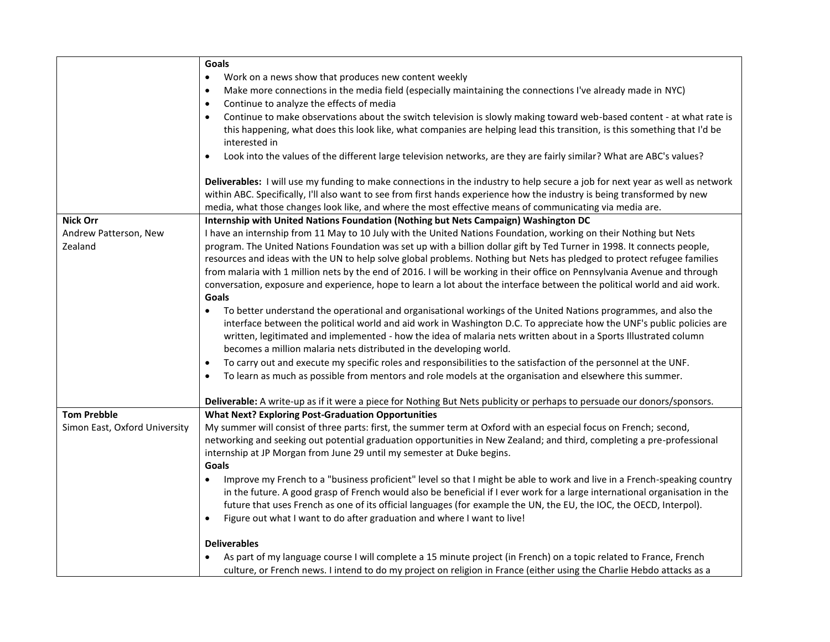|                               | Goals                                                                                                                              |
|-------------------------------|------------------------------------------------------------------------------------------------------------------------------------|
|                               | Work on a news show that produces new content weekly                                                                               |
|                               | Make more connections in the media field (especially maintaining the connections I've already made in NYC)<br>$\bullet$            |
|                               | Continue to analyze the effects of media<br>$\bullet$                                                                              |
|                               | Continue to make observations about the switch television is slowly making toward web-based content - at what rate is<br>$\bullet$ |
|                               | this happening, what does this look like, what companies are helping lead this transition, is this something that I'd be           |
|                               | interested in                                                                                                                      |
|                               | Look into the values of the different large television networks, are they are fairly similar? What are ABC's values?<br>$\bullet$  |
|                               | Deliverables: I will use my funding to make connections in the industry to help secure a job for next year as well as network      |
|                               | within ABC. Specifically, I'll also want to see from first hands experience how the industry is being transformed by new           |
|                               | media, what those changes look like, and where the most effective means of communicating via media are.                            |
| <b>Nick Orr</b>               | Internship with United Nations Foundation (Nothing but Nets Campaign) Washington DC                                                |
| Andrew Patterson, New         | I have an internship from 11 May to 10 July with the United Nations Foundation, working on their Nothing but Nets                  |
| Zealand                       | program. The United Nations Foundation was set up with a billion dollar gift by Ted Turner in 1998. It connects people,            |
|                               | resources and ideas with the UN to help solve global problems. Nothing but Nets has pledged to protect refugee families            |
|                               | from malaria with 1 million nets by the end of 2016. I will be working in their office on Pennsylvania Avenue and through          |
|                               | conversation, exposure and experience, hope to learn a lot about the interface between the political world and aid work.           |
|                               | Goals                                                                                                                              |
|                               | To better understand the operational and organisational workings of the United Nations programmes, and also the                    |
|                               | interface between the political world and aid work in Washington D.C. To appreciate how the UNF's public policies are              |
|                               | written, legitimated and implemented - how the idea of malaria nets written about in a Sports Illustrated column                   |
|                               | becomes a million malaria nets distributed in the developing world.                                                                |
|                               | To carry out and execute my specific roles and responsibilities to the satisfaction of the personnel at the UNF.<br>$\bullet$      |
|                               | To learn as much as possible from mentors and role models at the organisation and elsewhere this summer.                           |
|                               | Deliverable: A write-up as if it were a piece for Nothing But Nets publicity or perhaps to persuade our donors/sponsors.           |
| <b>Tom Prebble</b>            | <b>What Next? Exploring Post-Graduation Opportunities</b>                                                                          |
| Simon East, Oxford University | My summer will consist of three parts: first, the summer term at Oxford with an especial focus on French; second,                  |
|                               | networking and seeking out potential graduation opportunities in New Zealand; and third, completing a pre-professional             |
|                               | internship at JP Morgan from June 29 until my semester at Duke begins.                                                             |
|                               | Goals                                                                                                                              |
|                               | Improve my French to a "business proficient" level so that I might be able to work and live in a French-speaking country           |
|                               | in the future. A good grasp of French would also be beneficial if I ever work for a large international organisation in the        |
|                               | future that uses French as one of its official languages (for example the UN, the EU, the IOC, the OECD, Interpol).                |
|                               | Figure out what I want to do after graduation and where I want to live!<br>$\bullet$                                               |
|                               | <b>Deliverables</b>                                                                                                                |
|                               | As part of my language course I will complete a 15 minute project (in French) on a topic related to France, French                 |
|                               | culture, or French news. I intend to do my project on religion in France (either using the Charlie Hebdo attacks as a              |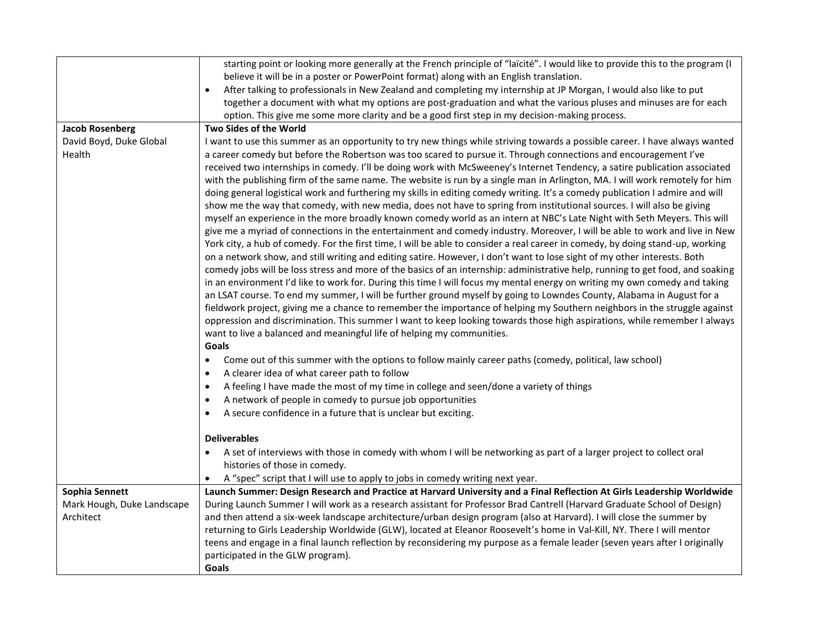|                            | starting point or looking more generally at the French principle of "laïcité". I would like to provide this to the program (I                        |
|----------------------------|------------------------------------------------------------------------------------------------------------------------------------------------------|
|                            | believe it will be in a poster or PowerPoint format) along with an English translation.                                                              |
|                            | After talking to professionals in New Zealand and completing my internship at JP Morgan, I would also like to put<br>$\bullet$                       |
|                            | together a document with what my options are post-graduation and what the various pluses and minuses are for each                                    |
|                            | option. This give me some more clarity and be a good first step in my decision-making process.                                                       |
| <b>Jacob Rosenberg</b>     | Two Sides of the World                                                                                                                               |
| David Boyd, Duke Global    | I want to use this summer as an opportunity to try new things while striving towards a possible career. I have always wanted                         |
| Health                     | a career comedy but before the Robertson was too scared to pursue it. Through connections and encouragement I've                                     |
|                            | received two internships in comedy. I'll be doing work with McSweeney's Internet Tendency, a satire publication associated                           |
|                            | with the publishing firm of the same name. The website is run by a single man in Arlington, MA. I will work remotely for him                         |
|                            | doing general logistical work and furthering my skills in editing comedy writing. It's a comedy publication I admire and will                        |
|                            | show me the way that comedy, with new media, does not have to spring from institutional sources. I will also be giving                               |
|                            | myself an experience in the more broadly known comedy world as an intern at NBC's Late Night with Seth Meyers. This will                             |
|                            | give me a myriad of connections in the entertainment and comedy industry. Moreover, I will be able to work and live in New                           |
|                            | York city, a hub of comedy. For the first time, I will be able to consider a real career in comedy, by doing stand-up, working                       |
|                            | on a network show, and still writing and editing satire. However, I don't want to lose sight of my other interests. Both                             |
|                            | comedy jobs will be loss stress and more of the basics of an internship: administrative help, running to get food, and soaking                       |
|                            | in an environment I'd like to work for. During this time I will focus my mental energy on writing my own comedy and taking                           |
|                            | an LSAT course. To end my summer, I will be further ground myself by going to Lowndes County, Alabama in August for a                                |
|                            | fieldwork project, giving me a chance to remember the importance of helping my Southern neighbors in the struggle against                            |
|                            | oppression and discrimination. This summer I want to keep looking towards those high aspirations, while remember I always                            |
|                            | want to live a balanced and meaningful life of helping my communities.                                                                               |
|                            | Goals                                                                                                                                                |
|                            | Come out of this summer with the options to follow mainly career paths (comedy, political, law school)<br>$\bullet$                                  |
|                            | A clearer idea of what career path to follow<br>$\bullet$                                                                                            |
|                            | A feeling I have made the most of my time in college and seen/done a variety of things<br>$\bullet$                                                  |
|                            | A network of people in comedy to pursue job opportunities<br>$\bullet$                                                                               |
|                            | A secure confidence in a future that is unclear but exciting.<br>$\bullet$                                                                           |
|                            | <b>Deliverables</b>                                                                                                                                  |
|                            |                                                                                                                                                      |
|                            | A set of interviews with those in comedy with whom I will be networking as part of a larger project to collect oral<br>histories of those in comedy. |
|                            | A "spec" script that I will use to apply to jobs in comedy writing next year.                                                                        |
| Sophia Sennett             | Launch Summer: Design Research and Practice at Harvard University and a Final Reflection At Girls Leadership Worldwide                               |
| Mark Hough, Duke Landscape | During Launch Summer I will work as a research assistant for Professor Brad Cantrell (Harvard Graduate School of Design)                             |
| Architect                  | and then attend a six-week landscape architecture/urban design program (also at Harvard). I will close the summer by                                 |
|                            | returning to Girls Leadership Worldwide (GLW), located at Eleanor Roosevelt's home in Val-Kill, NY. There I will mentor                              |
|                            | teens and engage in a final launch reflection by reconsidering my purpose as a female leader (seven years after I originally                         |
|                            | participated in the GLW program).                                                                                                                    |
|                            | Goals                                                                                                                                                |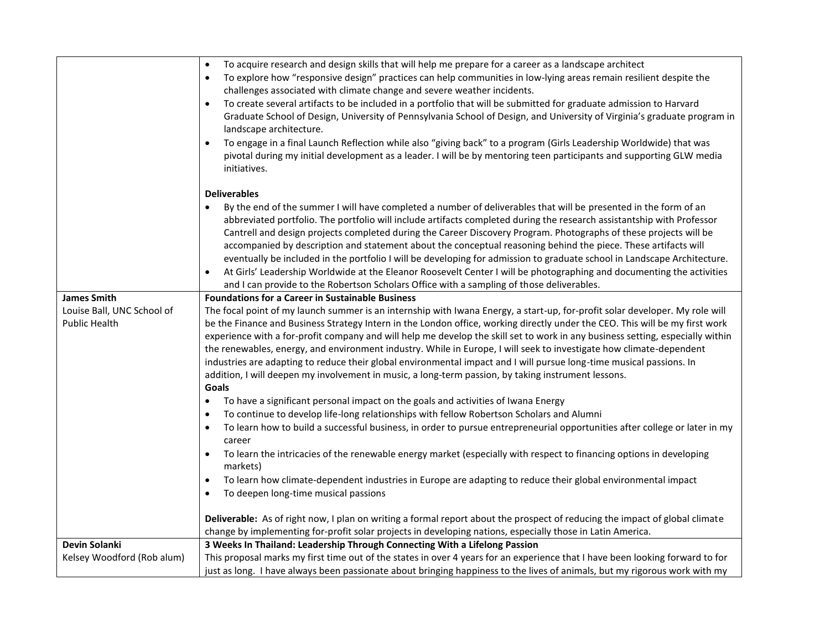|                            | To acquire research and design skills that will help me prepare for a career as a landscape architect<br>$\bullet$                                                                                                                                                                                                                                                                                                                                                                                                                                                                                                                                                                                                                                                                                                                               |
|----------------------------|--------------------------------------------------------------------------------------------------------------------------------------------------------------------------------------------------------------------------------------------------------------------------------------------------------------------------------------------------------------------------------------------------------------------------------------------------------------------------------------------------------------------------------------------------------------------------------------------------------------------------------------------------------------------------------------------------------------------------------------------------------------------------------------------------------------------------------------------------|
|                            | To explore how "responsive design" practices can help communities in low-lying areas remain resilient despite the<br>$\bullet$                                                                                                                                                                                                                                                                                                                                                                                                                                                                                                                                                                                                                                                                                                                   |
|                            | challenges associated with climate change and severe weather incidents.                                                                                                                                                                                                                                                                                                                                                                                                                                                                                                                                                                                                                                                                                                                                                                          |
|                            | To create several artifacts to be included in a portfolio that will be submitted for graduate admission to Harvard<br>$\bullet$<br>Graduate School of Design, University of Pennsylvania School of Design, and University of Virginia's graduate program in<br>landscape architecture.                                                                                                                                                                                                                                                                                                                                                                                                                                                                                                                                                           |
|                            | To engage in a final Launch Reflection while also "giving back" to a program (Girls Leadership Worldwide) that was<br>$\bullet$<br>pivotal during my initial development as a leader. I will be by mentoring teen participants and supporting GLW media<br>initiatives.                                                                                                                                                                                                                                                                                                                                                                                                                                                                                                                                                                          |
|                            | <b>Deliverables</b>                                                                                                                                                                                                                                                                                                                                                                                                                                                                                                                                                                                                                                                                                                                                                                                                                              |
|                            | By the end of the summer I will have completed a number of deliverables that will be presented in the form of an<br>abbreviated portfolio. The portfolio will include artifacts completed during the research assistantship with Professor<br>Cantrell and design projects completed during the Career Discovery Program. Photographs of these projects will be<br>accompanied by description and statement about the conceptual reasoning behind the piece. These artifacts will<br>eventually be included in the portfolio I will be developing for admission to graduate school in Landscape Architecture.<br>At Girls' Leadership Worldwide at the Eleanor Roosevelt Center I will be photographing and documenting the activities<br>$\bullet$<br>and I can provide to the Robertson Scholars Office with a sampling of those deliverables. |
| <b>James Smith</b>         | <b>Foundations for a Career in Sustainable Business</b>                                                                                                                                                                                                                                                                                                                                                                                                                                                                                                                                                                                                                                                                                                                                                                                          |
| Louise Ball, UNC School of | The focal point of my launch summer is an internship with Iwana Energy, a start-up, for-profit solar developer. My role will                                                                                                                                                                                                                                                                                                                                                                                                                                                                                                                                                                                                                                                                                                                     |
| <b>Public Health</b>       | be the Finance and Business Strategy Intern in the London office, working directly under the CEO. This will be my first work                                                                                                                                                                                                                                                                                                                                                                                                                                                                                                                                                                                                                                                                                                                     |
|                            | experience with a for-profit company and will help me develop the skill set to work in any business setting, especially within                                                                                                                                                                                                                                                                                                                                                                                                                                                                                                                                                                                                                                                                                                                   |
|                            | the renewables, energy, and environment industry. While in Europe, I will seek to investigate how climate-dependent                                                                                                                                                                                                                                                                                                                                                                                                                                                                                                                                                                                                                                                                                                                              |
|                            | industries are adapting to reduce their global environmental impact and I will pursue long-time musical passions. In                                                                                                                                                                                                                                                                                                                                                                                                                                                                                                                                                                                                                                                                                                                             |
|                            | addition, I will deepen my involvement in music, a long-term passion, by taking instrument lessons.                                                                                                                                                                                                                                                                                                                                                                                                                                                                                                                                                                                                                                                                                                                                              |
|                            | Goals                                                                                                                                                                                                                                                                                                                                                                                                                                                                                                                                                                                                                                                                                                                                                                                                                                            |
|                            | To have a significant personal impact on the goals and activities of Iwana Energy<br>$\bullet$                                                                                                                                                                                                                                                                                                                                                                                                                                                                                                                                                                                                                                                                                                                                                   |
|                            | To continue to develop life-long relationships with fellow Robertson Scholars and Alumni<br>$\bullet$                                                                                                                                                                                                                                                                                                                                                                                                                                                                                                                                                                                                                                                                                                                                            |
|                            | To learn how to build a successful business, in order to pursue entrepreneurial opportunities after college or later in my<br>$\bullet$<br>career                                                                                                                                                                                                                                                                                                                                                                                                                                                                                                                                                                                                                                                                                                |
|                            | To learn the intricacies of the renewable energy market (especially with respect to financing options in developing<br>$\bullet$<br>markets)                                                                                                                                                                                                                                                                                                                                                                                                                                                                                                                                                                                                                                                                                                     |
|                            | To learn how climate-dependent industries in Europe are adapting to reduce their global environmental impact<br>$\bullet$                                                                                                                                                                                                                                                                                                                                                                                                                                                                                                                                                                                                                                                                                                                        |
|                            | To deepen long-time musical passions<br>$\bullet$                                                                                                                                                                                                                                                                                                                                                                                                                                                                                                                                                                                                                                                                                                                                                                                                |
|                            | Deliverable: As of right now, I plan on writing a formal report about the prospect of reducing the impact of global climate<br>change by implementing for-profit solar projects in developing nations, especially those in Latin America.                                                                                                                                                                                                                                                                                                                                                                                                                                                                                                                                                                                                        |
| Devin Solanki              | 3 Weeks In Thailand: Leadership Through Connecting With a Lifelong Passion                                                                                                                                                                                                                                                                                                                                                                                                                                                                                                                                                                                                                                                                                                                                                                       |
| Kelsey Woodford (Rob alum) | This proposal marks my first time out of the states in over 4 years for an experience that I have been looking forward to for                                                                                                                                                                                                                                                                                                                                                                                                                                                                                                                                                                                                                                                                                                                    |
|                            | just as long. I have always been passionate about bringing happiness to the lives of animals, but my rigorous work with my                                                                                                                                                                                                                                                                                                                                                                                                                                                                                                                                                                                                                                                                                                                       |